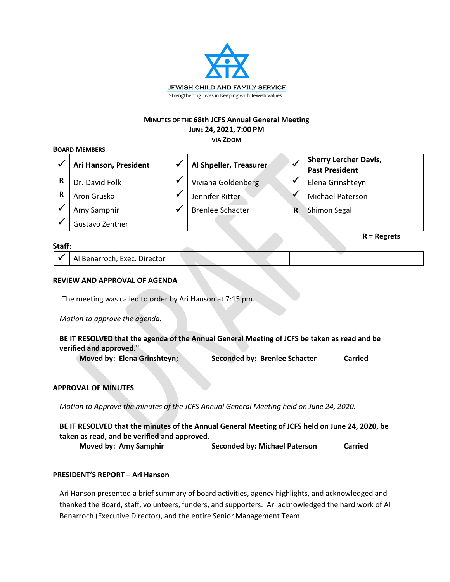

### **MINUTES OF THE 68th JCFS Annual General Meeting JUNE 24, 2021, 7:00 PM**

**VIA ZOOM**

### **BOARD MEMBERS**

|   | Ari Hanson, President | Al Shpeller, Treasurer  |   | <b>Sherry Lercher Davis,</b><br><b>Past President</b> |
|---|-----------------------|-------------------------|---|-------------------------------------------------------|
| R | Dr. David Folk        | Viviana Goldenberg      |   | Elena Grinshteyn                                      |
| R | Aron Grusko           | Jennifer Ritter         |   | <b>Michael Paterson</b>                               |
|   | Amy Samphir           | <b>Brenlee Schacter</b> | R | Shimon Segal                                          |
|   | Gustavo Zentner       |                         |   |                                                       |

### **Staff:**

| Al Benarroch, Exec. Director |  |  |  |
|------------------------------|--|--|--|
|                              |  |  |  |

**R = Regrets**

### **REVIEW AND APPROVAL OF AGENDA**

The meeting was called to order by Ari Hanson at 7:15 pm.

*Motion to approve the agenda.*

# **BE IT RESOLVED that the agenda of the Annual General Meeting of JCFS be taken as read and be verified and approved."**

**Moved by: Elena Grinshteyn; Seconded by: Brenlee Schacter Carried**

# **APPROVAL OF MINUTES**

*Motion to Approve the minutes of the JCFS Annual General Meeting held on June 24, 2020.*

BE IT RESOLVED that the minutes of the Annual General Meeting of JCFS held on June 24, 2020, be **taken as read, and be verified and approved.**

**Moved by: Amy Samphir Seconded by: Michael Paterson Carried**

# **PRESIDENT'S REPORT – Ari Hanson**

Ari Hanson presented a brief summary of board activities, agency highlights, and acknowledged and thanked the Board, staff, volunteers, funders, and supporters. Ari acknowledged the hard work of Al Benarroch (Executive Director), and the entire Senior Management Team.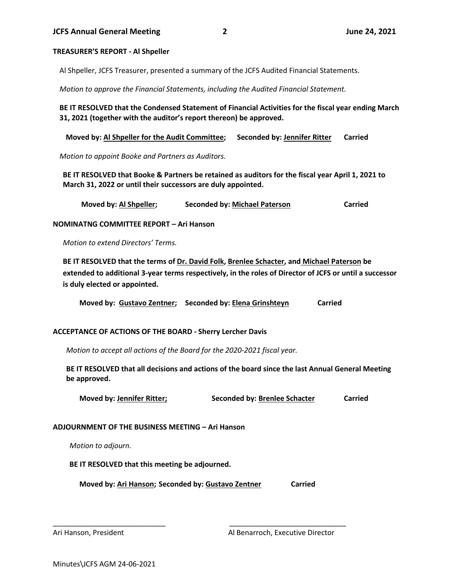#### **TREASURER'S REPORT - Al Shpeller**

Al Shpeller, JCFS Treasurer, presented a summary of the JCFS Audited Financial Statements.

*Motion to approve the Financial Statements, including the Audited Financial Statement.*

**BE IT RESOLVED that the Condensed Statement of Financial Activities for the fiscal year ending March 31, 2021 (together with the auditor's report thereon) be approved.**

 **Moved by: Al Shpeller for the Audit Committee; Seconded by: Jennifer Ritter Carried**

*Motion to appoint Booke and Partners as Auditors.*

**BE IT RESOLVED that Booke & Partners be retained as auditors for the fiscal year April 1, 2021 to March 31, 2022 or until their successors are duly appointed.**

 **Moved by: Al Shpeller; Seconded by: Michael Paterson Carried**

**NOMINATNG COMMITTEE REPORT – Ari Hanson**

*Motion to extend Directors' Terms.*

**BE IT RESOLVED that the terms of Dr. David Folk, Brenlee Schacter, and Michael Paterson be extended to additional 3-year terms respectively, in the roles of Director of JCFS or until a successor is duly elected or appointed.**

**Moved by: Gustavo Zentner; Seconded by: Elena Grinshteyn Carried**

# **ACCEPTANCE OF ACTIONS OF THE BOARD - Sherry Lercher Davis**

*Motion to accept all actions of the Board for the 2020-2021 fiscal year.* 

**BE IT RESOLVED that all decisions and actions of the board since the last Annual General Meeting be approved.**

**Moved by: Jennifer Ritter; Seconded by: Brenlee Schacter Carried**

#### **ADJOURNMENT OF THE BUSINESS MEETING – Ari Hanson**

*Motion to adjourn.*

**BE IT RESOLVED that this meeting be adjourned.**

**Moved by: Ari Hanson; Seconded by: Gustavo Zentner Carried**

\_\_\_\_\_\_\_\_\_\_\_\_\_\_\_\_\_\_\_\_\_\_\_\_\_\_\_\_ \_\_\_\_\_\_\_\_\_\_\_\_\_\_\_\_\_\_\_\_\_\_\_\_\_\_\_\_\_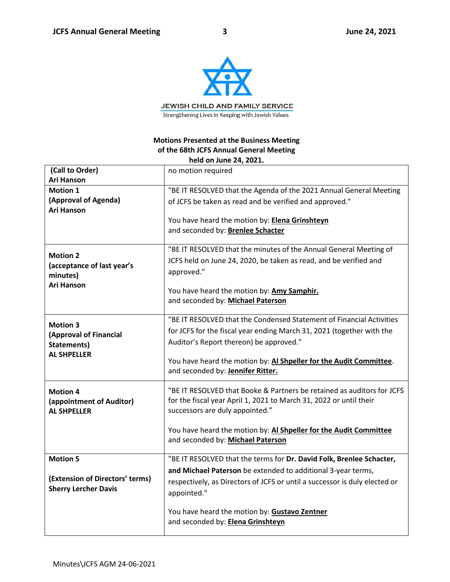

# **Motions Presented at the Business Meeting of the 68th JCFS Annual General Meeting held on June 24, 2021.**

| (Call to Order)<br><b>Ari Hanson</b> | no motion required                                                                                      |
|--------------------------------------|---------------------------------------------------------------------------------------------------------|
| <b>Motion 1</b>                      | "BE IT RESOLVED that the Agenda of the 2021 Annual General Meeting                                      |
| (Approval of Agenda)                 |                                                                                                         |
| <b>Ari Hanson</b>                    | of JCFS be taken as read and be verified and approved."                                                 |
|                                      | You have heard the motion by: Elena Grinshteyn                                                          |
|                                      | and seconded by: Brenlee Schacter                                                                       |
|                                      |                                                                                                         |
|                                      | "BE IT RESOLVED that the minutes of the Annual General Meeting of                                       |
| <b>Motion 2</b>                      | JCFS held on June 24, 2020, be taken as read, and be verified and                                       |
| (acceptance of last year's           | approved."                                                                                              |
| minutes)<br><b>Ari Hanson</b>        |                                                                                                         |
|                                      | You have heard the motion by: Amy Samphir.                                                              |
|                                      | and seconded by: Michael Paterson                                                                       |
|                                      |                                                                                                         |
| <b>Motion 3</b>                      | "BE IT RESOLVED that the Condensed Statement of Financial Activities                                    |
| (Approval of Financial               | for JCFS for the fiscal year ending March 31, 2021 (together with the                                   |
| Statements)                          | Auditor's Report thereon) be approved."                                                                 |
| <b>AL SHPELLER</b>                   |                                                                                                         |
|                                      | You have heard the motion by: Al Shpeller for the Audit Committee.<br>and seconded by: Jennifer Ritter. |
|                                      |                                                                                                         |
| <b>Motion 4</b>                      | "BE IT RESOLVED that Booke & Partners be retained as auditors for JCFS                                  |
| (appointment of Auditor)             | for the fiscal year April 1, 2021 to March 31, 2022 or until their                                      |
| <b>AL SHPELLER</b>                   | successors are duly appointed."                                                                         |
|                                      |                                                                                                         |
|                                      | You have heard the motion by: Al Shpeller for the Audit Committee                                       |
|                                      | and seconded by: Michael Paterson                                                                       |
| <b>Motion 5</b>                      | "BE IT RESOLVED that the terms for Dr. David Folk, Brenlee Schacter,                                    |
|                                      | and Michael Paterson be extended to additional 3-year terms,                                            |
| (Extension of Directors' terms)      | respectively, as Directors of JCFS or until a successor is duly elected or                              |
| <b>Sherry Lercher Davis</b>          | appointed."                                                                                             |
|                                      |                                                                                                         |
|                                      | You have heard the motion by: Gustavo Zentner                                                           |
|                                      | and seconded by: Elena Grinshteyn                                                                       |
|                                      |                                                                                                         |